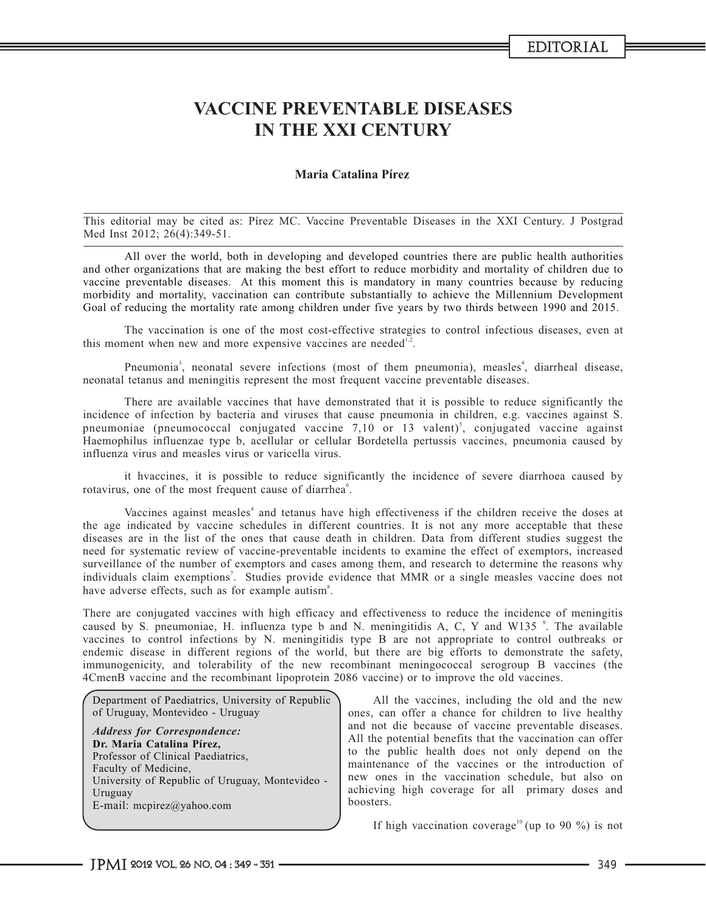## **VACCINE PREVENTABLE DISEASES IN THE XXI CENTURY**

## **Maria Catalina Pírez**

This editorial may be cited as: Pírez MC. Vaccine Preventable Diseases in the XXI Century. J Postgrad Med Inst 2012; 26(4):349-51.

All over the world, both in developing and developed countries there are public health authorities and other organizations that are making the best effort to reduce morbidity and mortality of children due to vaccine preventable diseases. At this moment this is mandatory in many countries because by reducing morbidity and mortality, vaccination can contribute substantially to achieve the Millennium Development Goal of reducing the mortality rate among children under five years by two thirds between 1990 and 2015.

The vaccination is one of the most cost-effective strategies to control infectious diseases, even at this moment when new and more expensive vaccines are needed<sup>1,2</sup>.

Pneumonia<sup>3</sup>, neonatal severe infections (most of them pneumonia), measles<sup>4</sup>, diarrheal disease, neonatal tetanus and meningitis represent the most frequent vaccine preventable diseases.

There are available vaccines that have demonstrated that it is possible to reduce significantly the incidence of infection by bacteria and viruses that cause pneumonia in children, e.g. vaccines against S. pneumoniae (pneumococcal conjugated vaccine 7,10 or 13 valent)<sup>5</sup>, conjugated vaccine against Haemophilus influenzae type b, acellular or cellular Bordetella pertussis vaccines, pneumonia caused by influenza virus and measles virus or varicella virus.

it hvaccines, it is possible to reduce significantly the incidence of severe diarrhoea caused by rotavirus, one of the most frequent cause of diarrhea<sup>6</sup>.

Vaccines against measles<sup>4</sup> and tetanus have high effectiveness if the children receive the doses at the age indicated by vaccine schedules in different countries. It is not any more acceptable that these diseases are in the list of the ones that cause death in children. Data from different studies suggest the need for systematic review of vaccine-preventable incidents to examine the effect of exemptors, increased surveillance of the number of exemptors and cases among them, and research to determine the reasons why individuals claim exemptions<sup>7</sup>. Studies provide evidence that MMR or a single measles vaccine does not have adverse effects, such as for example autism<sup>8</sup>.

There are conjugated vaccines with high efficacy and effectiveness to reduce the incidence of meningitis caused by S. pneumoniae, H. influenza type b and N. meningitidis A, C, Y and W135<sup>9</sup>. The available vaccines to control infections by N. meningitidis type B are not appropriate to control outbreaks or endemic disease in different regions of the world, but there are big efforts to demonstrate the safety, immunogenicity, and tolerability of the new recombinant meningococcal serogroup B vaccines (the 4CmenB vaccine and the recombinant lipoprotein 2086 vaccine) or to improve the old vaccines.

Department of Paediatrics, University of Republic of Uruguay, Montevideo - Uruguay

**Dr. Maria Catalina Pírez,** Professor of Clinical Paediatrics, Faculty of Medicine, University of Republic of Uruguay, Montevideo - Uruguay E-mail: mcpirez@yahoo.com *Address for Correspondence:*

All the vaccines, including the old and the new ones, can offer a chance for children to live healthy and not die because of vaccine preventable diseases. All the potential benefits that the vaccination can offer to the public health does not only depend on the maintenance of the vaccines or the introduction of new ones in the vaccination schedule, but also on achieving high coverage for all primary doses and boosters.

If high vaccination coverage<sup>10</sup> (up to 90 %) is not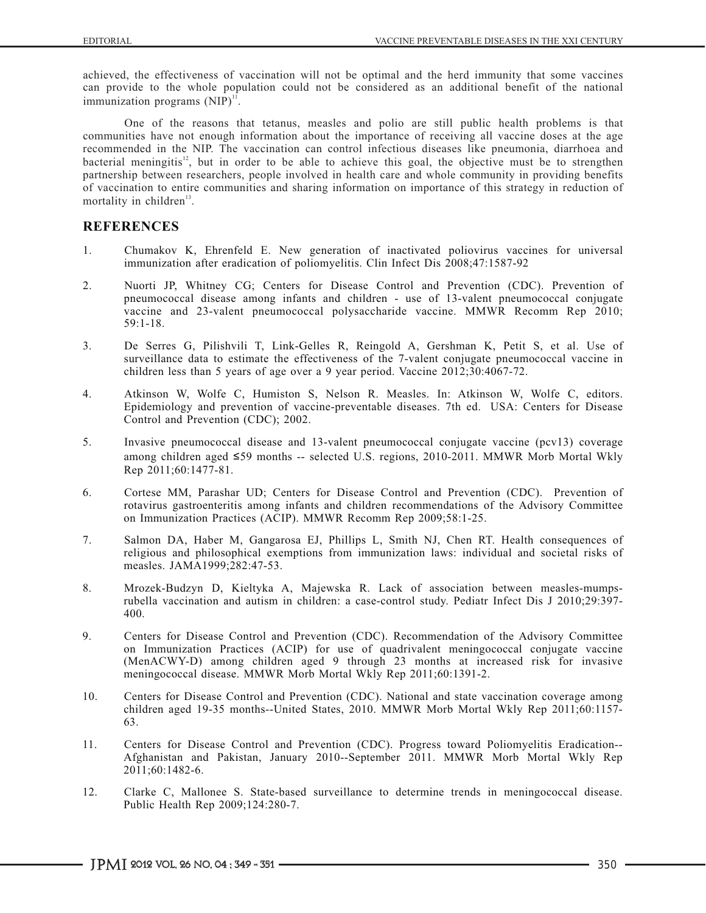achieved, the effectiveness of vaccination will not be optimal and the herd immunity that some vaccines can provide to the whole population could not be considered as an additional benefit of the national immunization programs (NIP)<sup>11</sup>.

One of the reasons that tetanus, measles and polio are still public health problems is that communities have not enough information about the importance of receiving all vaccine doses at the age recommended in the NIP. The vaccination can control infectious diseases like pneumonia, diarrhoea and bacterial meningitis<sup>12</sup>, but in order to be able to achieve this goal, the objective must be to strengthen partnership between researchers, people involved in health care and whole community in providing benefits of vaccination to entire communities and sharing information on importance of this strategy in reduction of mortality in children $13$ .

## **REFERENCES**

- 1. Chumakov K, Ehrenfeld E. New generation of inactivated poliovirus vaccines for universal immunization after eradication of poliomyelitis. Clin Infect Dis 2008;47:1587-92
- 2. Nuorti JP, Whitney CG; Centers for Disease Control and Prevention (CDC). Prevention of pneumococcal disease among infants and children - use of 13-valent pneumococcal conjugate vaccine and 23-valent pneumococcal polysaccharide vaccine. MMWR Recomm Rep 2010; 59:1-18.
- 3. De Serres G, Pilishvili T, Link-Gelles R, Reingold A, Gershman K, Petit S, et al. Use of surveillance data to estimate the effectiveness of the 7-valent conjugate pneumococcal vaccine in children less than 5 years of age over a 9 year period. Vaccine 2012;30:4067-72.
- 4. Atkinson W, Wolfe C, Humiston S, Nelson R. Measles. In: Atkinson W, Wolfe C, editors. Epidemiology and prevention of vaccine-preventable diseases. 7th ed. USA: Centers for Disease Control and Prevention (CDC); 2002.
- 5. Invasive pneumococcal disease and 13-valent pneumococcal conjugate vaccine (pcv13) coverage among children aged ≤59 months -- selected U.S. regions, 2010-2011. MMWR Morb Mortal Wkly Rep 2011;60:1477-81.
- 6. Cortese MM, Parashar UD; Centers for Disease Control and Prevention (CDC). Prevention of rotavirus gastroenteritis among infants and children recommendations of the Advisory Committee on Immunization Practices (ACIP). MMWR Recomm Rep 2009;58:1-25.
- 7. Salmon DA, Haber M, Gangarosa EJ, Phillips L, Smith NJ, Chen RT. Health consequences of religious and philosophical exemptions from immunization laws: individual and societal risks of measles. JAMA1999;282:47-53.
- 8. Mrozek-Budzyn D, Kieltyka A, Majewska R. Lack of association between measles-mumpsrubella vaccination and autism in children: a case-control study. Pediatr Infect Dis J 2010;29:397- 400.
- 9. Centers for Disease Control and Prevention (CDC). Recommendation of the Advisory Committee on Immunization Practices (ACIP) for use of quadrivalent meningococcal conjugate vaccine (MenACWY-D) among children aged 9 through 23 months at increased risk for invasive meningococcal disease. MMWR Morb Mortal Wkly Rep 2011;60:1391-2.
- 10. Centers for Disease Control and Prevention (CDC). National and state vaccination coverage among children aged 19-35 months--United States, 2010. MMWR Morb Mortal Wkly Rep 2011;60:1157- 63.
- 11. Centers for Disease Control and Prevention (CDC). Progress toward Poliomyelitis Eradication-- Afghanistan and Pakistan, January 2010--September 2011. MMWR Morb Mortal Wkly Rep 2011;60:1482-6.
- 12. Clarke C, Mallonee S. State-based surveillance to determine trends in meningococcal disease. Public Health Rep 2009;124:280-7.